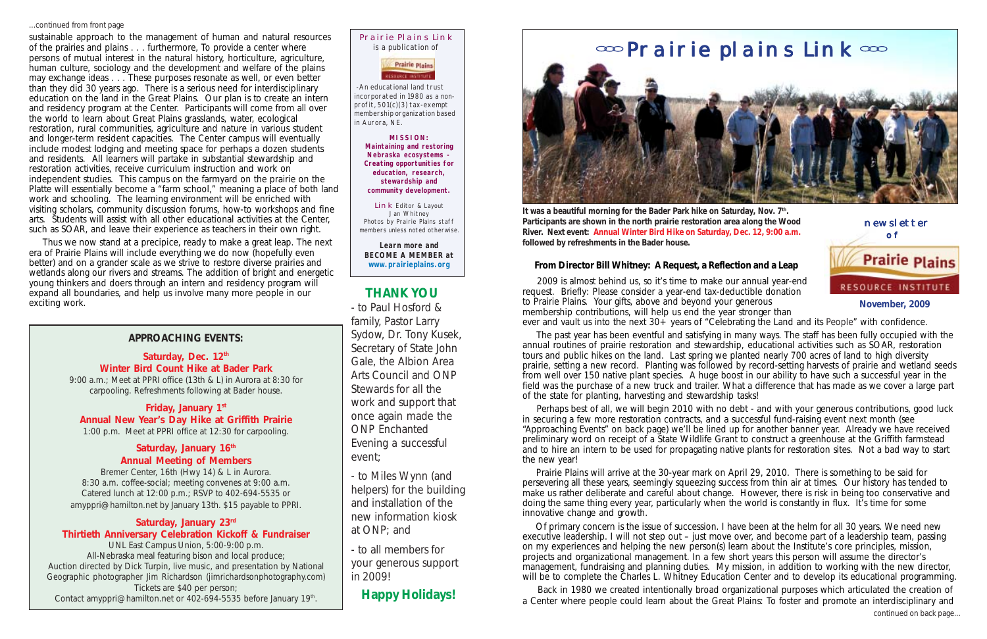

## Prairie Plains Link is a publication of



 -An educational land trust incorporated in 1980 as a nonprofit, 501(c)(3) tax-exempt membership organization based in Aurora, NE.

> **MISSION: Maintaining and restoring Nebraska ecosystems - Creating opportunities for education, research, stewardship and community development.**

Link Editor & Layout Jan Whitney Photos by Prairie Plains staff members unless noted otherwise.

It was a beautiful morning for the Bader Park hike on Saturday, Nov. 7<sup>th</sup>. **Participants are shown in the north prairie restoration area along the Wood River. Next event: Annual Winter Bird Hike on Saturday, Dec. 12, 9:00 a.m. followed by refreshments in the Bader house.**

**Learn more and BECOME A MEMBER at www.prairieplains.org**



# **THANK YOU**

- to Paul Hosford & family, Pastor Larry Sydow, Dr. Tony Kusek, Secretary of State John Gale, the Albion Area Arts Council and ONP Stewards for all the work and support that once again made the ONP Enchanted Evening a successful event;

- to Miles Wynn (and helpers) for the building and installation of the new information kiosk at ONP; and

- to all members for your generous support in 2009!

**Happy Holidays!**

## **From Director Bill Whitney: A Request, a Reflection and a Leap**

**November, 2009** 2009 is almost behind us, so it's time to make our annual year-end request. Briefly: Please consider a year-end tax-deductible donation to Prairie Plains. Your gifts, above and beyond your generous membership contributions, will help us end the year stronger than ever and vault us into the next 30+ years of "Celebrating the Land and its People" with confidence.

 The past year has been eventful and satisfying in many ways. The staff has been fully occupied with the annual routines of prairie restoration and stewardship, educational activities such as SOAR, restoration tours and public hikes on the land. Last spring we planted nearly 700 acres of land to high diversity prairie, setting a new record. Planting was followed by record-setting harvests of prairie and wetland seeds from well over 150 native plant species. A huge boost in our ability to have such a successful year in the field was the purchase of a new truck and trailer. What a difference that has made as we cover a large part of the state for planting, harvesting and stewardship tasks!

 Perhaps best of all, we will begin 2010 with no debt - and with your generous contributions, good luck in securing a few more restoration contracts, and a successful fund-raising event next month (see "Approaching Events" on back page) we'll be lined up for another banner year. Already we have received preliminary word on receipt of a State Wildlife Grant to construct a greenhouse at the Griffith farmstead and to hire an intern to be used for propagating native plants for restoration sites. Not a bad way to start the new year!

 Prairie Plains will arrive at the 30-year mark on April 29, 2010. There is something to be said for persevering all these years, seemingly squeezing success from thin air at times. Our history has tended to make us rather deliberate and careful about change. However, there is risk in being too conservative and doing the same thing every year, particularly when the world is constantly in flux. It's time for some innovative change and growth.

Saturday, Dec. 12<sup>th</sup> **Winter Bird Count Hike at Bader Park** 9:00 a.m.; Meet at PPRI office (13th & L) in Aurora at 8:30 for carpooling. Refreshments following at Bader house.

## Saturday, January 16<sup>th</sup> **Annual Meeting of Members**

 Of primary concern is the issue of succession. I have been at the helm for all 30 years. We need new Back in 1980 we created intentionally broad organizational purposes which articulated the creation of continued on back page...

executive leadership. I will not step out – just move over, and become part of a leadership team, passing on my experiences and helping the new person(s) learn about the Institute's core principles, mission, projects and organizational management. In a few short years this person will assume the director's management, fundraising and planning duties. My mission, in addition to working with the new director, will be to complete the Charles L. Whitney Education Center and to develop its educational programming. a Center where people could learn about the Great Plains: *To foster and promote an interdisciplinary and*

*sustainable approach to the management of human and natural resources of the prairies and plains . . .* furthermore, *To provide a center where persons of mutual interest in the natural history, horticulture, agriculture, human culture, sociology and the development and welfare of the plains may exchange ideas . .* These purposes resonate as well, or even better than they did 30 years ago. There is a serious need for interdisciplinary education on the land in the Great Plains. Our plan is to create an intern and residency program at the Center. Participants will come from all over the world to learn about Great Plains grasslands, water, ecological restoration, rural communities, agriculture and nature in various student and longer-term resident capacities. The Center campus will eventually include modest lodging and meeting space for perhaps a dozen students and residents. All learners will partake in substantial stewardship and restoration activities, receive curriculum instruction and work on independent studies. This campus on the farmyard on the prairie on the Platte will essentially become a "farm school," meaning a place of both land work and schooling. The learning environment will be enriched with visiting scholars, community discussion forums, how-to workshops and fine arts. Students will assist with all other educational activities at the Center, such as SOAR, and leave their experience as teachers in their own right.

 Thus we now stand at a precipice, ready to make a great leap. The next era of Prairie Plains will include everything we do now (hopefully even better) and on a grander scale as we strive to restore diverse prairies and wetlands along our rivers and streams. The addition of bright and energetic young thinkers and doers through an intern and residency program will expand all boundaries, and help us involve many more people in our exciting work.

## **APPROACHING EVENTS:**

## **Friday, January 1st**

**Annual New Year's Day Hike at Griffith Prairie** 1:00 p.m. Meet at PPRI office at 12:30 for carpooling.

Bremer Center, 16th (Hwy 14) & L in Aurora. 8:30 a.m. coffee-social; meeting convenes at 9:00 a.m. Catered lunch at 12:00 p.m.; RSVP to 402-694-5535 or amyppri@hamilton.net by January 13th. \$15 payable to PPRI.

## **Saturday, January 23rd**

## **Thirtieth Anniversary Celebration Kickoff & Fundraiser**

UNL East Campus Union, 5:00-9:00 p.m. All-Nebraska meal featuring bison and local produce; Auction directed by Dick Turpin, live music, and presentation by National Geographic photographer Jim Richardson (jimrichardsonphotography.com) Tickets are \$40 per person;

Contact amyppri@hamilton.net or 402-694-5535 before January 19th.

## ...continued from front page